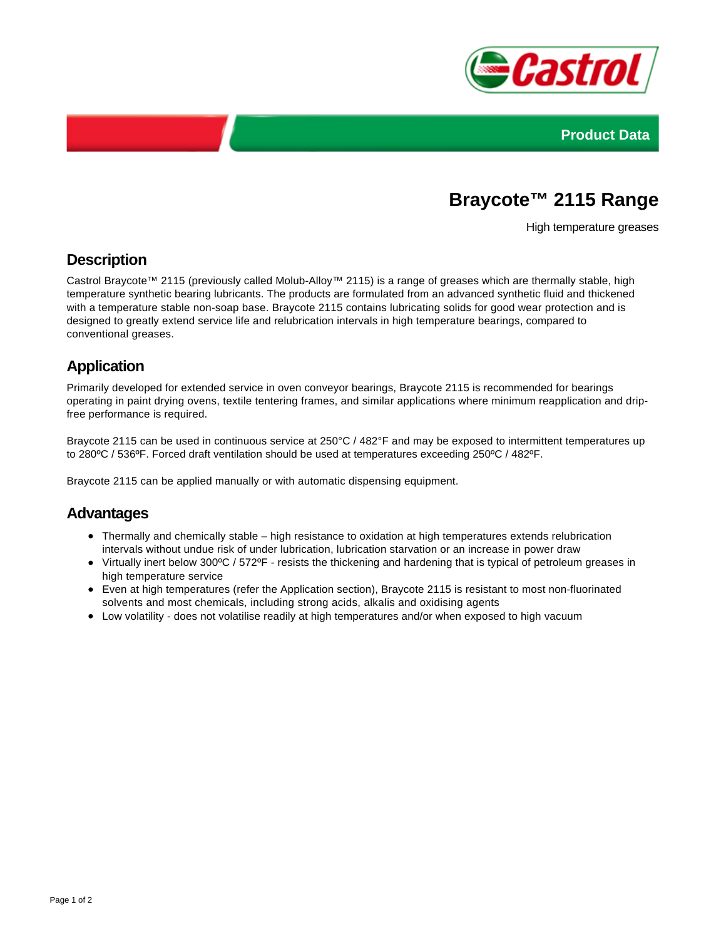



# **Braycote™ 2115 Range**

High temperature greases

## **Description**

Castrol Braycote™ 2115 (previously called Molub-Alloy™ 2115) is a range of greases which are thermally stable, high temperature synthetic bearing lubricants. The products are formulated from an advanced synthetic fluid and thickened with a temperature stable non-soap base. Braycote 2115 contains lubricating solids for good wear protection and is designed to greatly extend service life and relubrication intervals in high temperature bearings, compared to conventional greases.

## **Application**

Primarily developed for extended service in oven conveyor bearings, Braycote 2115 is recommended for bearings operating in paint drying ovens, textile tentering frames, and similar applications where minimum reapplication and dripfree performance is required.

Braycote 2115 can be used in continuous service at 250°C / 482°F and may be exposed to intermittent temperatures up to 280ºC / 536ºF. Forced draft ventilation should be used at temperatures exceeding 250ºC / 482ºF.

Braycote 2115 can be applied manually or with automatic dispensing equipment.

#### **Advantages**

- Thermally and chemically stable high resistance to oxidation at high temperatures extends relubrication intervals without undue risk of under lubrication, lubrication starvation or an increase in power draw
- Virtually inert below 300°C / 572°F resists the thickening and hardening that is typical of petroleum greases in high temperature service
- Even at high temperatures (refer the Application section), Braycote 2115 is resistant to most non-fluorinated solvents and most chemicals, including strong acids, alkalis and oxidising agents
- Low volatility does not volatilise readily at high temperatures and/or when exposed to high vacuum